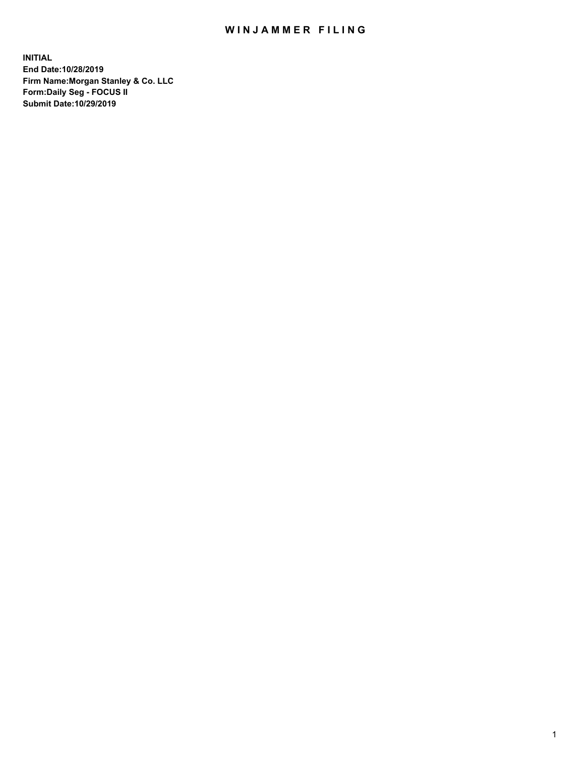## WIN JAMMER FILING

**INITIAL End Date:10/28/2019 Firm Name:Morgan Stanley & Co. LLC Form:Daily Seg - FOCUS II Submit Date:10/29/2019**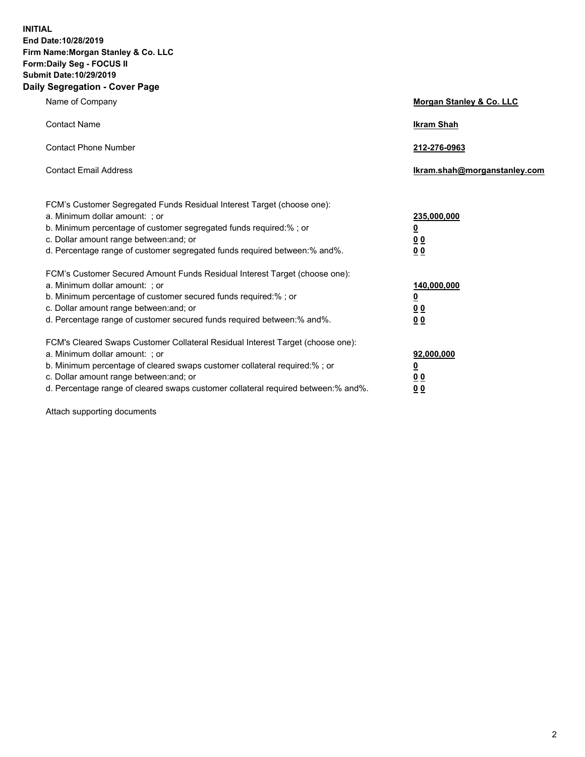**INITIAL End Date:10/28/2019 Firm Name:Morgan Stanley & Co. LLC Form:Daily Seg - FOCUS II Submit Date:10/29/2019 Daily Segregation - Cover Page**

| Name of Company                                                                                                                                                                                                                                                                                                                | Morgan Stanley & Co. LLC                               |  |
|--------------------------------------------------------------------------------------------------------------------------------------------------------------------------------------------------------------------------------------------------------------------------------------------------------------------------------|--------------------------------------------------------|--|
| <b>Contact Name</b>                                                                                                                                                                                                                                                                                                            | <b>Ikram Shah</b>                                      |  |
| <b>Contact Phone Number</b>                                                                                                                                                                                                                                                                                                    | 212-276-0963                                           |  |
| <b>Contact Email Address</b>                                                                                                                                                                                                                                                                                                   | lkram.shah@morganstanley.com                           |  |
| FCM's Customer Segregated Funds Residual Interest Target (choose one):<br>a. Minimum dollar amount: : or<br>b. Minimum percentage of customer segregated funds required:% ; or<br>c. Dollar amount range between: and; or<br>d. Percentage range of customer segregated funds required between:% and%.                         | 235,000,000<br><u>0</u><br>00<br>00                    |  |
| FCM's Customer Secured Amount Funds Residual Interest Target (choose one):<br>a. Minimum dollar amount: ; or<br>b. Minimum percentage of customer secured funds required:%; or<br>c. Dollar amount range between: and; or<br>d. Percentage range of customer secured funds required between:% and%.                            | 140,000,000<br><u>0</u><br><u>00</u><br>0 <sub>0</sub> |  |
| FCM's Cleared Swaps Customer Collateral Residual Interest Target (choose one):<br>a. Minimum dollar amount: ; or<br>b. Minimum percentage of cleared swaps customer collateral required:% ; or<br>c. Dollar amount range between: and; or<br>d. Percentage range of cleared swaps customer collateral required between:% and%. | 92,000,000<br><u>0</u><br><u>00</u><br>0 <sub>0</sub>  |  |

Attach supporting documents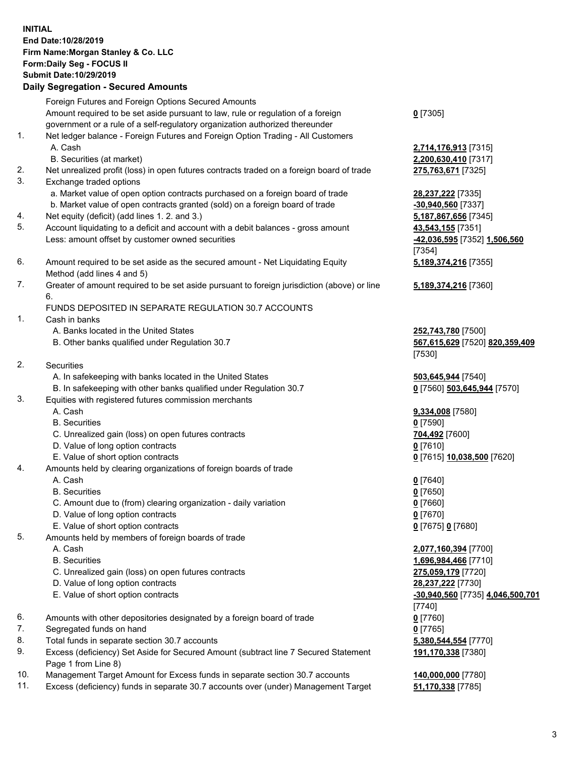## **INITIAL End Date:10/28/2019 Firm Name:Morgan Stanley & Co. LLC Form:Daily Seg - FOCUS II Submit Date:10/29/2019**

**Daily Segregation - Secured Amounts** Foreign Futures and Foreign Options Secured Amounts Amount required to be set aside pursuant to law, rule or regulation of a foreign government or a rule of a self-regulatory organization authorized thereunder 1. Net ledger balance - Foreign Futures and Foreign Option Trading - All Customers A. Cash **2,714,176,913** [7315] B. Securities (at market) **2,200,630,410** [7317] 2. Net unrealized profit (loss) in open futures contracts traded on a foreign board of trade **275,763,671** [7325] 3. Exchange traded options a. Market value of open option contracts purchased on a foreign board of trade **28,237,222** [7335] b. Market value of open contracts granted (sold) on a foreign board of trade **-30,940,560** [7337] 4. Net equity (deficit) (add lines 1. 2. and 3.) **5,187,867,656** [7345] 5. Account liquidating to a deficit and account with a debit balances - gross amount **43,543,155** [7351] Less: amount offset by customer owned securities **-42,036,595** [7352] **1,506,560** 6. Amount required to be set aside as the secured amount - Net Liquidating Equity Method (add lines 4 and 5) 7. Greater of amount required to be set aside pursuant to foreign jurisdiction (above) or line 6. FUNDS DEPOSITED IN SEPARATE REGULATION 30.7 ACCOUNTS 1. Cash in banks A. Banks located in the United States **252,743,780** [7500] B. Other banks qualified under Regulation 30.7 **567,615,629** [7520] **820,359,409** 2. Securities A. In safekeeping with banks located in the United States **503,645,944** [7540] B. In safekeeping with other banks qualified under Regulation 30.7 **0** [7560] **503,645,944** [7570] 3. Equities with registered futures commission merchants A. Cash **9,334,008** [7580] B. Securities **0** [7590] C. Unrealized gain (loss) on open futures contracts **704,492** [7600] D. Value of long option contracts **0** [7610] E. Value of short option contracts **0** [7615] **10,038,500** [7620] 4. Amounts held by clearing organizations of foreign boards of trade A. Cash **0** [7640] B. Securities **0** [7650] C. Amount due to (from) clearing organization - daily variation **0** [7660] D. Value of long option contracts **0** [7670] E. Value of short option contracts **0** [7675] **0** [7680] 5. Amounts held by members of foreign boards of trade A. Cash **2,077,160,394** [7700] B. Securities **1,696,984,466** [7710] C. Unrealized gain (loss) on open futures contracts **275,059,179** [7720]

- D. Value of long option contracts **28,237,222** [7730]
- 
- 6. Amounts with other depositories designated by a foreign board of trade **0** [7760]
- 7. Segregated funds on hand **0** [7765]
- 8. Total funds in separate section 30.7 accounts **5,380,544,554** [7770]
- 9. Excess (deficiency) Set Aside for Secured Amount (subtract line 7 Secured Statement Page 1 from Line 8)
- 10. Management Target Amount for Excess funds in separate section 30.7 accounts **140,000,000** [7780]
- 11. Excess (deficiency) funds in separate 30.7 accounts over (under) Management Target **51,170,338** [7785]

**0** [7305]

[7354] **5,189,374,216** [7355]

**5,189,374,216** [7360]

[7530]

 E. Value of short option contracts **-30,940,560** [7735] **4,046,500,701** [7740] **191,170,338** [7380]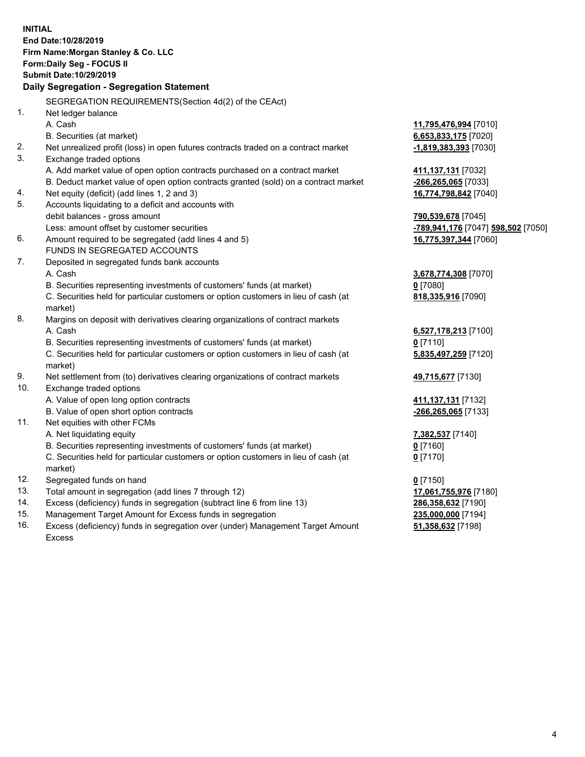**INITIAL End Date:10/28/2019 Firm Name:Morgan Stanley & Co. LLC Form:Daily Seg - FOCUS II Submit Date:10/29/2019 Daily Segregation - Segregation Statement** SEGREGATION REQUIREMENTS(Section 4d(2) of the CEAct) 1. Net ledger balance A. Cash **11,795,476,994** [7010] B. Securities (at market) **6,653,833,175** [7020] 2. Net unrealized profit (loss) in open futures contracts traded on a contract market **-1,819,383,393** [7030] 3. Exchange traded options A. Add market value of open option contracts purchased on a contract market **411,137,131** [7032] B. Deduct market value of open option contracts granted (sold) on a contract market **-266,265,065** [7033] 4. Net equity (deficit) (add lines 1, 2 and 3) **16,774,798,842** [7040] 5. Accounts liquidating to a deficit and accounts with debit balances - gross amount **790,539,678** [7045] Less: amount offset by customer securities **-789,941,176** [7047] **598,502** [7050] 6. Amount required to be segregated (add lines 4 and 5) **16,775,397,344** [7060] FUNDS IN SEGREGATED ACCOUNTS 7. Deposited in segregated funds bank accounts A. Cash **3,678,774,308** [7070] B. Securities representing investments of customers' funds (at market) **0** [7080] C. Securities held for particular customers or option customers in lieu of cash (at market) **818,335,916** [7090] 8. Margins on deposit with derivatives clearing organizations of contract markets A. Cash **6,527,178,213** [7100] B. Securities representing investments of customers' funds (at market) **0** [7110] C. Securities held for particular customers or option customers in lieu of cash (at market) **5,835,497,259** [7120] 9. Net settlement from (to) derivatives clearing organizations of contract markets **49,715,677** [7130] 10. Exchange traded options A. Value of open long option contracts **411,137,131** [7132] B. Value of open short option contracts **-266,265,065** [7133] 11. Net equities with other FCMs A. Net liquidating equity **7,382,537** [7140] B. Securities representing investments of customers' funds (at market) **0** [7160] C. Securities held for particular customers or option customers in lieu of cash (at market) **0** [7170] 12. Segregated funds on hand **0** [7150] 13. Total amount in segregation (add lines 7 through 12) **17,061,755,976** [7180] 14. Excess (deficiency) funds in segregation (subtract line 6 from line 13) **286,358,632** [7190] 15. Management Target Amount for Excess funds in segregation **235,000,000** [7194] **51,358,632** [7198]

16. Excess (deficiency) funds in segregation over (under) Management Target Amount Excess